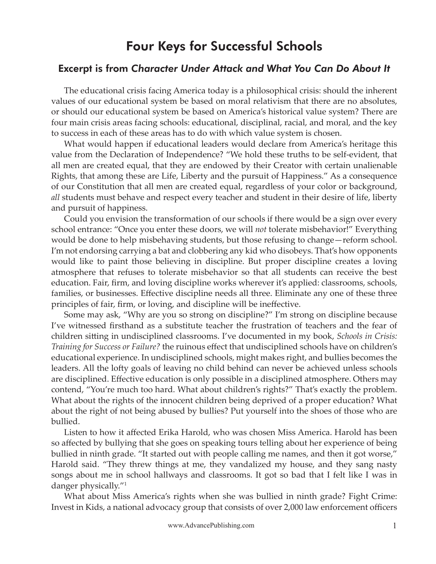## Four Keys for Successful Schools

## Excerpt is from *Character Under Attack and What You Can Do About It*

The educational crisis facing America today is a philosophical crisis: should the inherent values of our educational system be based on moral relativism that there are no absolutes, or should our educational system be based on America's historical value system? There are four main crisis areas facing schools: educational, disciplinal, racial, and moral, and the key to success in each of these areas has to do with which value system is chosen.

What would happen if educational leaders would declare from America's heritage this value from the Declaration of Independence? "We hold these truths to be self-evident, that all men are created equal, that they are endowed by their Creator with certain unalienable Rights, that among these are Life, Liberty and the pursuit of Happiness." As a consequence of our Constitution that all men are created equal, regardless of your color or background, *all* students must behave and respect every teacher and student in their desire of life, liberty and pursuit of happiness.

Could you envision the transformation of our schools if there would be a sign over every school entrance: "Once you enter these doors, we will *not* tolerate misbehavior!" Everything would be done to help misbehaving students, but those refusing to change—reform school. I'm not endorsing carrying a bat and clobbering any kid who disobeys. That's how opponents would like to paint those believing in discipline. But proper discipline creates a loving atmosphere that refuses to tolerate misbehavior so that all students can receive the best education. Fair, firm, and loving discipline works wherever it's applied: classrooms, schools, families, or businesses. Effective discipline needs all three. Eliminate any one of these three principles of fair, firm, or loving, and discipline will be ineffective.

Some may ask, "Why are you so strong on discipline?" I'm strong on discipline because I've witnessed firsthand as a substitute teacher the frustration of teachers and the fear of children sitting in undisciplined classrooms. I've documented in my book, *Schools in Crisis: Training for Success or Failure?* the ruinous effect that undisciplined schools have on children's educational experience. In undisciplined schools, might makes right, and bullies becomes the leaders. All the lofty goals of leaving no child behind can never be achieved unless schools are disciplined. Effective education is only possible in a disciplined atmosphere. Others may contend, "You're much too hard. What about children's rights?" That's exactly the problem. What about the rights of the innocent children being deprived of a proper education? What about the right of not being abused by bullies? Put yourself into the shoes of those who are bullied.

Listen to how it affected Erika Harold, who was chosen Miss America. Harold has been so affected by bullying that she goes on speaking tours telling about her experience of being bullied in ninth grade. "It started out with people calling me names, and then it got worse," Harold said. "They threw things at me, they vandalized my house, and they sang nasty songs about me in school hallways and classrooms. It got so bad that I felt like I was in danger physically."1

What about Miss America's rights when she was bullied in ninth grade? Fight Crime: Invest in Kids, a national advocacy group that consists of over 2,000 law enforcement officers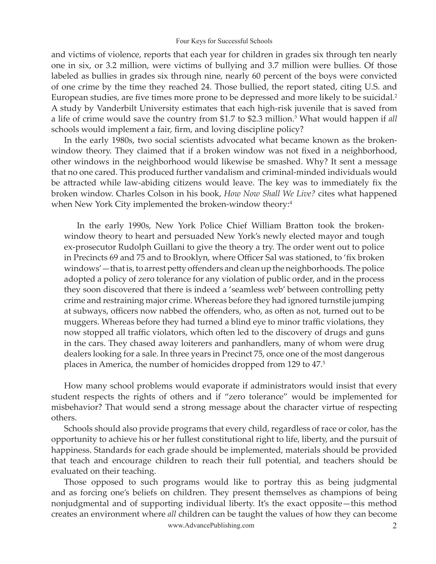## Four Keys for Successful Schools

and victims of violence, reports that each year for children in grades six through ten nearly one in six, or 3.2 million, were victims of bullying and 3.7 million were bullies. Of those labeled as bullies in grades six through nine, nearly 60 percent of the boys were convicted of one crime by the time they reached 24. Those bullied, the report stated, citing U.S. and European studies, are five times more prone to be depressed and more likely to be suicidal.<sup>2</sup> A study by Vanderbilt University estimates that each high-risk juvenile that is saved from a life of crime would save the country from \$1.7 to \$2.3 million.3 What would happen if *all* schools would implement a fair, firm, and loving discipline policy?

In the early 1980s, two social scientists advocated what became known as the brokenwindow theory. They claimed that if a broken window was not fixed in a neighborhood, other windows in the neighborhood would likewise be smashed. Why? It sent a message that no one cared. This produced further vandalism and criminal-minded individuals would be attracted while law-abiding citizens would leave. The key was to immediately fix the broken window. Charles Colson in his book, *How Now Shall We Live?* cites what happened when New York City implemented the broken-window theory:<sup>4</sup>

In the early 1990s, New York Police Chief William Bratton took the brokenwindow theory to heart and persuaded New York's newly elected mayor and tough ex-prosecutor Rudolph Guillani to give the theory a try. The order went out to police in Precincts 69 and 75 and to Brooklyn, where Officer Sal was stationed, to 'fix broken windows' — that is, to arrest petty offenders and clean up the neighborhoods. The police adopted a policy of zero tolerance for any violation of public order, and in the process they soon discovered that there is indeed a 'seamless web' between controlling petty crime and restraining major crime. Whereas before they had ignored turnstile jumping at subways, officers now nabbed the offenders, who, as often as not, turned out to be muggers. Whereas before they had turned a blind eye to minor traffic violations, they now stopped all traffic violators, which often led to the discovery of drugs and guns in the cars. They chased away loiterers and panhandlers, many of whom were drug dealers looking for a sale. In three years in Precinct 75, once one of the most dangerous places in America, the number of homicides dropped from 129 to 47.5

How many school problems would evaporate if administrators would insist that every student respects the rights of others and if "zero tolerance" would be implemented for misbehavior? That would send a strong message about the character virtue of respecting others.

Schools should also provide programs that every child, regardless of race or color, has the opportunity to achieve his or her fullest constitutional right to life, liberty, and the pursuit of happiness. Standards for each grade should be implemented, materials should be provided that teach and encourage children to reach their full potential, and teachers should be evaluated on their teaching.

www.AdvancePublishing.com 2 Those opposed to such programs would like to portray this as being judgmental and as forcing one's beliefs on children. They present themselves as champions of being nonjudgmental and of supporting individual liberty. It's the exact opposite—this method creates an environment where *all* children can be taught the values of how they can become